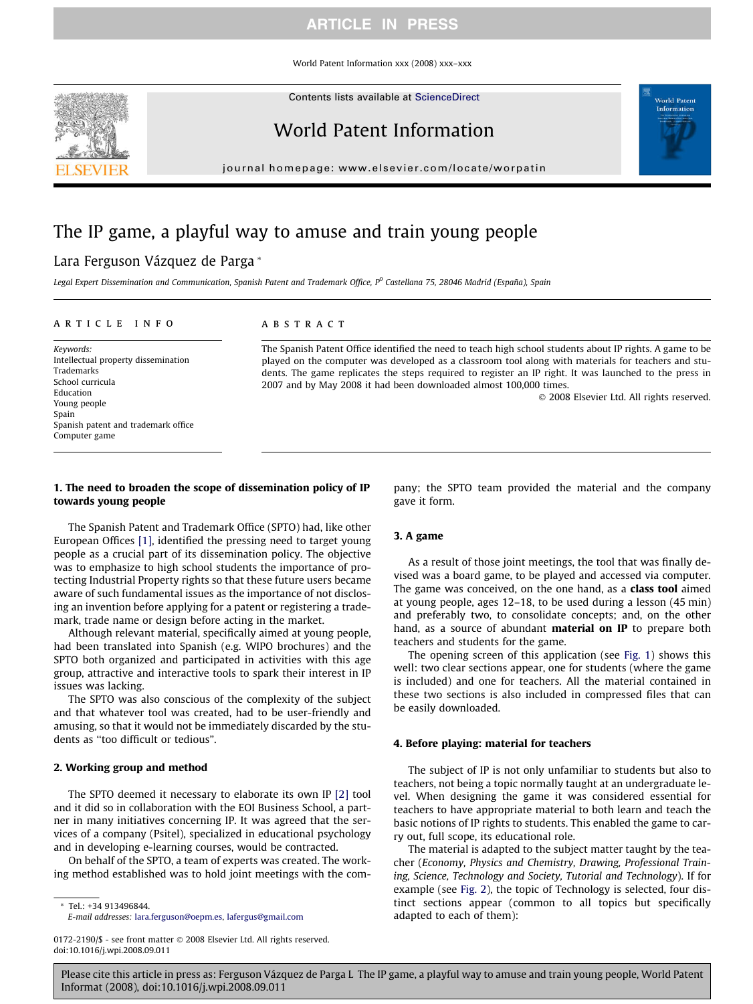World Patent Information xxx (2008) xxx–xxx

Contents lists available at [ScienceDirect](http://www.sciencedirect.com/science/journal/01722190)

# World Patent Information

journal homepage: [www.elsevier.com/locate/worpatin](http://www.elsevier.com/locate/worpatin)

# The IP game, a playful way to amuse and train young people

# Lara Ferguson Vázquez de Parga \*

Legal Expert Dissemination and Communication, Spanish Patent and Trademark Office, P<sup>0</sup> Castellana 75, 28046 Madrid (España), Spain

#### article info

Keywords: Intellectual property dissemination Trademarks School curricula Education Young people Spain Spanish patent and trademark office Computer game

#### **ABSTRACT**

The Spanish Patent Office identified the need to teach high school students about IP rights. A game to be played on the computer was developed as a classroom tool along with materials for teachers and students. The game replicates the steps required to register an IP right. It was launched to the press in 2007 and by May 2008 it had been downloaded almost 100,000 times.

- 2008 Elsevier Ltd. All rights reserved.

World Patent Information

#### 1. The need to broaden the scope of dissemination policy of IP towards young people

The Spanish Patent and Trademark Office (SPTO) had, like other European Offices [\[1\]](#page-5-0), identified the pressing need to target young people as a crucial part of its dissemination policy. The objective was to emphasize to high school students the importance of protecting Industrial Property rights so that these future users became aware of such fundamental issues as the importance of not disclosing an invention before applying for a patent or registering a trademark, trade name or design before acting in the market.

Although relevant material, specifically aimed at young people, had been translated into Spanish (e.g. WIPO brochures) and the SPTO both organized and participated in activities with this age group, attractive and interactive tools to spark their interest in IP issues was lacking.

The SPTO was also conscious of the complexity of the subject and that whatever tool was created, had to be user-friendly and amusing, so that it would not be immediately discarded by the students as ''too difficult or tedious".

### 2. Working group and method

The SPTO deemed it necessary to elaborate its own IP [\[2\]](#page-5-0) tool and it did so in collaboration with the EOI Business School, a partner in many initiatives concerning IP. It was agreed that the services of a company (Psitel), specialized in educational psychology and in developing e-learning courses, would be contracted.

On behalf of the SPTO, a team of experts was created. The working method established was to hold joint meetings with the com-

\* Tel.: +34 913496844. E-mail addresses: [lara.ferguson@oepm.es,](mailto:lara.ferguson@oepm.es) [lafergus@gmail.com](mailto:lafergus@gmail.com)

0172-2190/\$ - see front matter © 2008 Elsevier Ltd. All rights reserved. doi:10.1016/j.wpi.2008.09.011

pany; the SPTO team provided the material and the company gave it form.

### 3. A game

As a result of those joint meetings, the tool that was finally devised was a board game, to be played and accessed via computer. The game was conceived, on the one hand, as a **class tool** aimed at young people, ages 12–18, to be used during a lesson (45 min) and preferably two, to consolidate concepts; and, on the other hand, as a source of abundant **material on IP** to prepare both teachers and students for the game.

The opening screen of this application (see [Fig. 1\)](#page-1-0) shows this well: two clear sections appear, one for students (where the game is included) and one for teachers. All the material contained in these two sections is also included in compressed files that can be easily downloaded.

#### 4. Before playing: material for teachers

The subject of IP is not only unfamiliar to students but also to teachers, not being a topic normally taught at an undergraduate level. When designing the game it was considered essential for teachers to have appropriate material to both learn and teach the basic notions of IP rights to students. This enabled the game to carry out, full scope, its educational role.

The material is adapted to the subject matter taught by the teacher (Economy, Physics and Chemistry, Drawing, Professional Training, Science, Technology and Society, Tutorial and Technology). If for example (see [Fig. 2](#page-1-0)), the topic of Technology is selected, four distinct sections appear (common to all topics but specifically adapted to each of them):

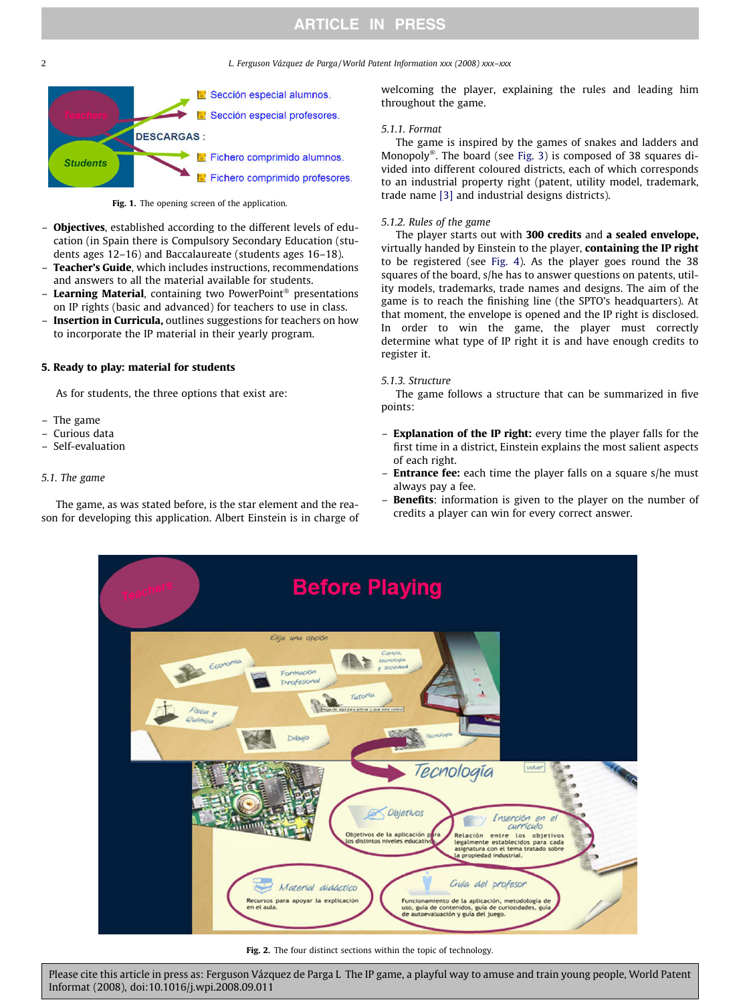#### <span id="page-1-0"></span>2 L. Ferguson Vázquez de Parga /World Patent Information xxx (2008) xxx–xxx



Fig. 1. The opening screen of the application.

- Objectives, established according to the different levels of education (in Spain there is Compulsory Secondary Education (students ages 12–16) and Baccalaureate (students ages 16–18).
- Teacher's Guide, which includes instructions, recommendations and answers to all the material available for students.
- **Learning Material,** containing two PowerPoint<sup>®</sup> presentations on IP rights (basic and advanced) for teachers to use in class.
- Insertion in Curricula, outlines suggestions for teachers on how to incorporate the IP material in their yearly program.

#### 5. Ready to play: material for students

As for students, the three options that exist are:

- The game
- Curious data
- Self-evaluation

#### 5.1. The game

The game, as was stated before, is the star element and the reason for developing this application. Albert Einstein is in charge of welcoming the player, explaining the rules and leading him throughout the game.

#### 5.1.1. Format

The game is inspired by the games of snakes and ladders and Monopoly<sup>®</sup>. The board (see [Fig. 3\)](#page-2-0) is composed of 38 squares divided into different coloured districts, each of which corresponds to an industrial property right (patent, utility model, trademark, trade name [\[3\]](#page-5-0) and industrial designs districts).

#### 5.1.2. Rules of the game

The player starts out with 300 credits and a sealed envelope, virtually handed by Einstein to the player, **containing the IP right** to be registered (see [Fig. 4](#page-2-0)). As the player goes round the 38 squares of the board, s/he has to answer questions on patents, utility models, trademarks, trade names and designs. The aim of the game is to reach the finishing line (the SPTO's headquarters). At that moment, the envelope is opened and the IP right is disclosed. In order to win the game, the player must correctly determine what type of IP right it is and have enough credits to register it.

#### 5.1.3. Structure

The game follows a structure that can be summarized in five points:

- Explanation of the IP right: every time the player falls for the first time in a district, Einstein explains the most salient aspects of each right.
- **Entrance fee:** each time the player falls on a square s/he must always pay a fee.
- Benefits: information is given to the player on the number of credits a player can win for every correct answer.



Fig. 2. The four distinct sections within the topic of technology.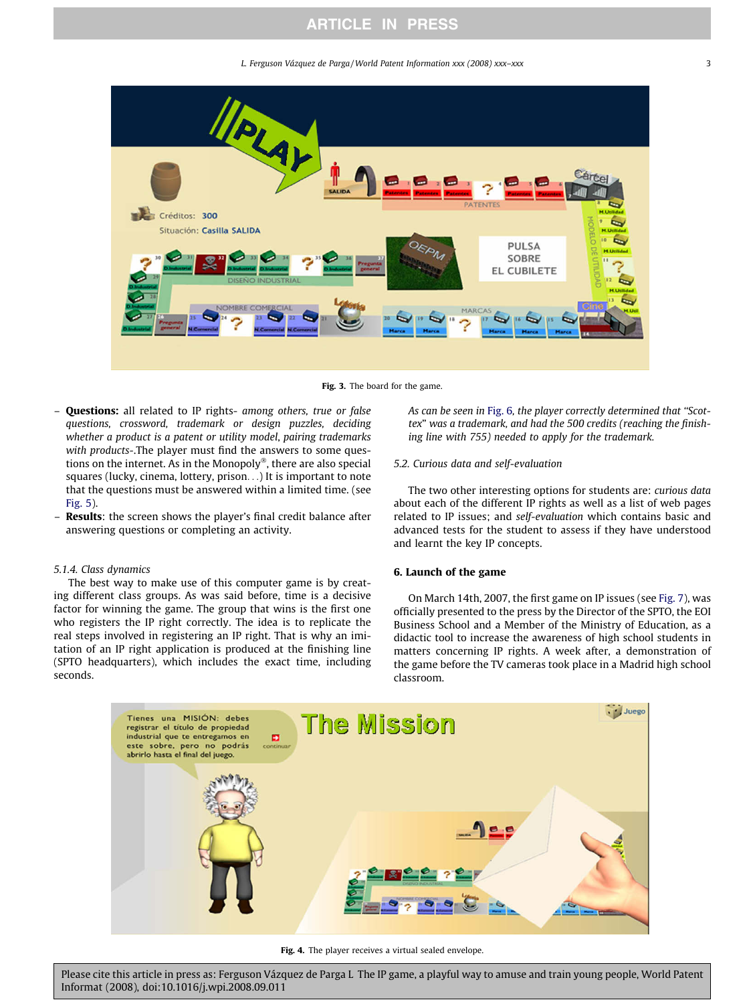<span id="page-2-0"></span>L. Ferguson Vázquez de Parga / World Patent Information xxx (2008) xxx–xxx 3



Fig. 3. The board for the game.

- **Questions:** all related to IP rights- among others, true or false questions, crossword, trademark or design puzzles, deciding whether a product is a patent or utility model, pairing trademarks with products-.The player must find the answers to some questions on the internet. As in the Monopoly®, there are also special squares (lucky, cinema, lottery, prison...) It is important to note that the questions must be answered within a limited time. (see [Fig. 5\)](#page-3-0).
- Results: the screen shows the player's final credit balance after answering questions or completing an activity.

### 5.1.4. Class dynamics

The best way to make use of this computer game is by creating different class groups. As was said before, time is a decisive factor for winning the game. The group that wins is the first one who registers the IP right correctly. The idea is to replicate the real steps involved in registering an IP right. That is why an imitation of an IP right application is produced at the finishing line (SPTO headquarters), which includes the exact time, including seconds.

As can be seen in [Fig. 6](#page-3-0), the player correctly determined that ''Scottex" was a trademark, and had the 500 credits (reaching the finishing line with 755) needed to apply for the trademark.

### 5.2. Curious data and self-evaluation

The two other interesting options for students are: curious data about each of the different IP rights as well as a list of web pages related to IP issues; and self-evaluation which contains basic and advanced tests for the student to assess if they have understood and learnt the key IP concepts.

#### 6. Launch of the game

On March 14th, 2007, the first game on IP issues (see [Fig. 7\)](#page-4-0), was officially presented to the press by the Director of the SPTO, the EOI Business School and a Member of the Ministry of Education, as a didactic tool to increase the awareness of high school students in matters concerning IP rights. A week after, a demonstration of the game before the TV cameras took place in a Madrid high school classroom.



Fig. 4. The player receives a virtual sealed envelope.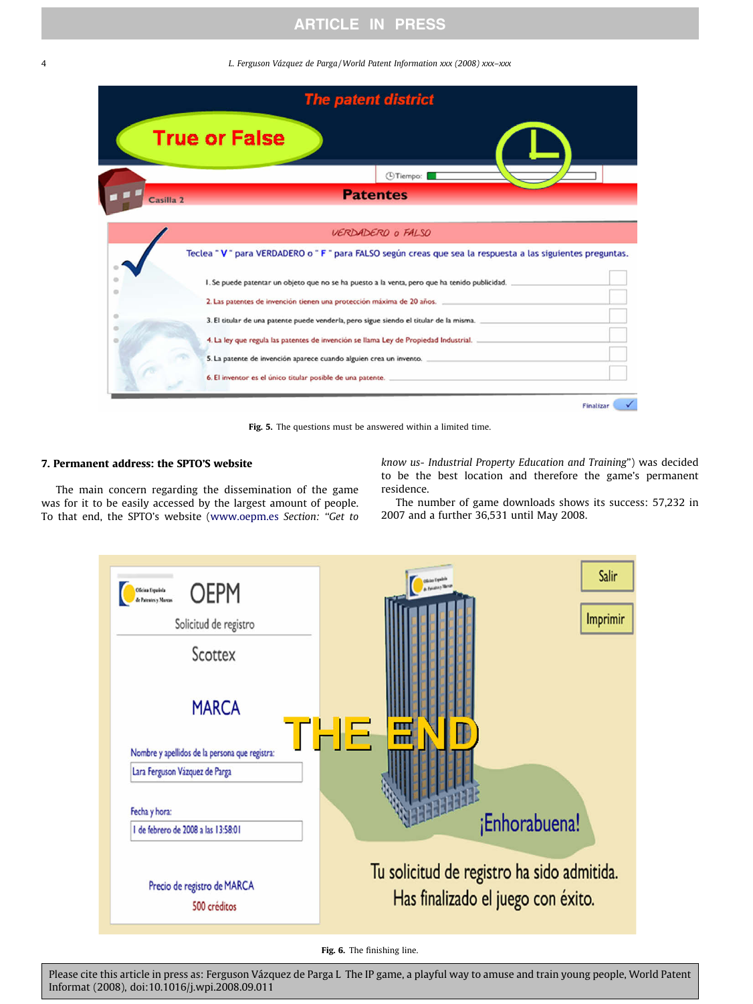<span id="page-3-0"></span>4 L. Ferguson Vázquez de Parga /World Patent Information xxx (2008) xxx–xxx



Fig. 5. The questions must be answered within a limited time.

## 7. Permanent address: the SPTO'S website

The main concern regarding the dissemination of the game was for it to be easily accessed by the largest amount of people. To that end, the SPTO's website ([www.oepm.es](http://www.oepm.es) Section: ''Get to know us- Industrial Property Education and Training") was decided to be the best location and therefore the game's permanent residence.

The number of game downloads shows its success: 57,232 in 2007 and a further 36,531 until May 2008.



Fig. 6. The finishing line.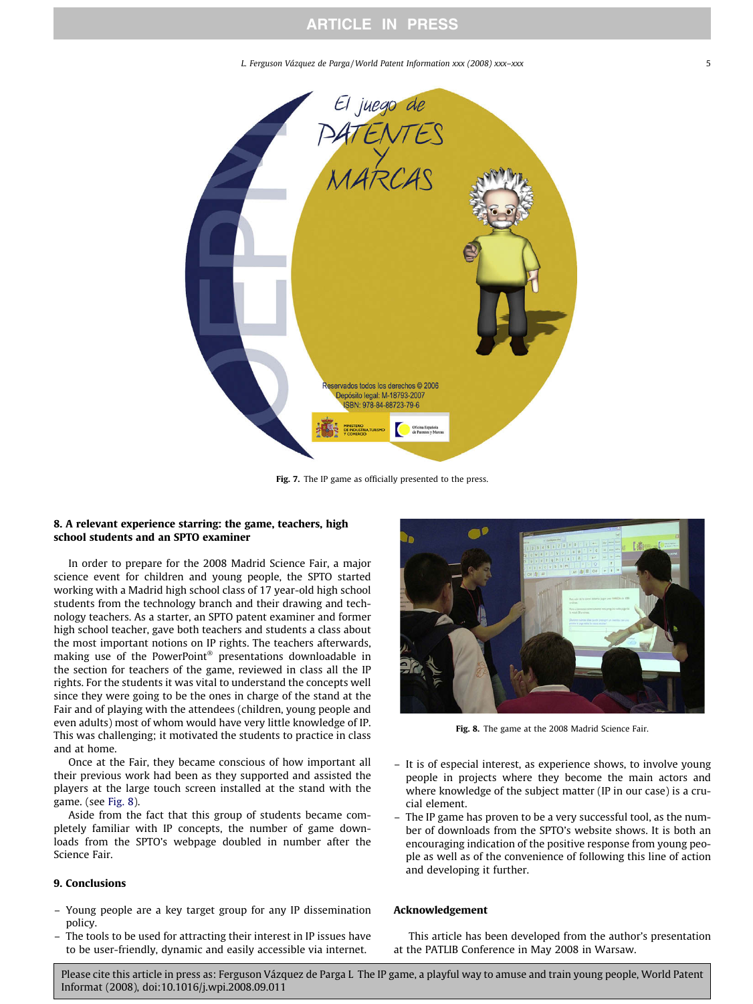L. Ferguson Vázquez de Parga / World Patent Information xxx (2008) xxx–xxx 5

<span id="page-4-0"></span>

Fig. 7. The IP game as officially presented to the press.

### 8. A relevant experience starring: the game, teachers, high school students and an SPTO examiner

In order to prepare for the 2008 Madrid Science Fair, a major science event for children and young people, the SPTO started working with a Madrid high school class of 17 year-old high school students from the technology branch and their drawing and technology teachers. As a starter, an SPTO patent examiner and former high school teacher, gave both teachers and students a class about the most important notions on IP rights. The teachers afterwards, making use of the PowerPoint® presentations downloadable in the section for teachers of the game, reviewed in class all the IP rights. For the students it was vital to understand the concepts well since they were going to be the ones in charge of the stand at the Fair and of playing with the attendees (children, young people and even adults) most of whom would have very little knowledge of IP. This was challenging; it motivated the students to practice in class and at home.

Once at the Fair, they became conscious of how important all their previous work had been as they supported and assisted the players at the large touch screen installed at the stand with the game. (see Fig. 8).

Aside from the fact that this group of students became completely familiar with IP concepts, the number of game downloads from the SPTO's webpage doubled in number after the Science Fair.

## 9. Conclusions

- Young people are a key target group for any IP dissemination policy.
- The tools to be used for attracting their interest in IP issues have to be user-friendly, dynamic and easily accessible via internet.



Fig. 8. The game at the 2008 Madrid Science Fair.

- It is of especial interest, as experience shows, to involve young people in projects where they become the main actors and where knowledge of the subject matter (IP in our case) is a crucial element.
- The IP game has proven to be a very successful tool, as the number of downloads from the SPTO's website shows. It is both an encouraging indication of the positive response from young people as well as of the convenience of following this line of action and developing it further.

### Acknowledgement

This article has been developed from the author's presentation at the PATLIB Conference in May 2008 in Warsaw.